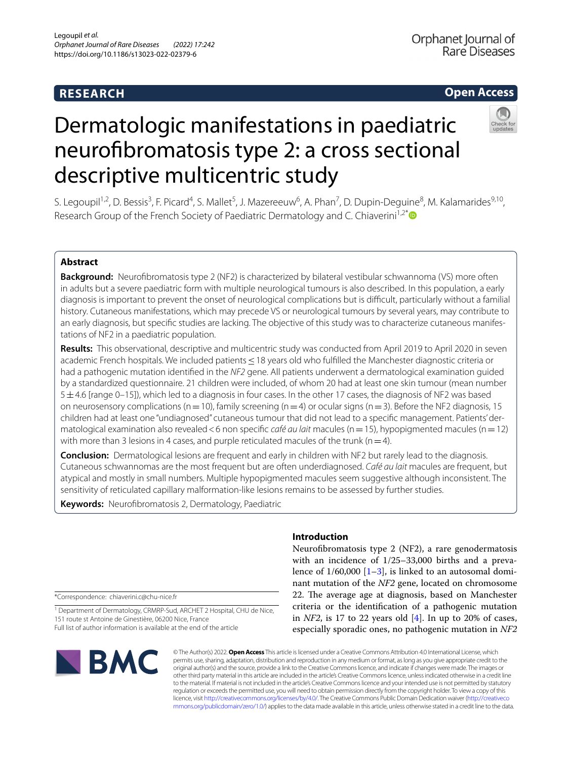## **RESEARCH**

### **Open Access**

# Dermatologic manifestations in paediatric neurofbromatosis type 2: a cross sectional descriptive multicentric study

S. Legoupil<sup>1,2</sup>, D. Bessis<sup>3</sup>, F. Picard<sup>4</sup>, S. Mallet<sup>5</sup>, J. Mazereeuw<sup>6</sup>, A. Phan<sup>7</sup>, D. Dupin-Deguine<sup>8</sup>, M. Kalamarides<sup>9,10</sup>, Research Group of the French Society of Paediatric Dermatology and C. Chiaverini<sup>1,2\*</sup>

#### **Abstract**

**Background:** Neurofbromatosis type 2 (NF2) is characterized by bilateral vestibular schwannoma (VS) more often in adults but a severe paediatric form with multiple neurological tumours is also described. In this population, a early diagnosis is important to prevent the onset of neurological complications but is difcult, particularly without a familial history. Cutaneous manifestations, which may precede VS or neurological tumours by several years, may contribute to an early diagnosis, but specific studies are lacking. The objective of this study was to characterize cutaneous manifestations of NF2 in a paediatric population.

**Results:** This observational, descriptive and multicentric study was conducted from April 2019 to April 2020 in seven academic French hospitals. We included patients ≤18 years old who fulfilled the Manchester diagnostic criteria or had a pathogenic mutation identifed in the *NF2* gene. All patients underwent a dermatological examination guided by a standardized questionnaire. 21 children were included, of whom 20 had at least one skin tumour (mean number 5±4.6 [range 0–15]), which led to a diagnosis in four cases. In the other 17 cases, the diagnosis of NF2 was based on neurosensory complications (n=10), family screening (n=4) or ocular signs (n=3). Before the NF2 diagnosis, 15 children had at least one "undiagnosed" cutaneous tumour that did not lead to a specific management. Patients' dermatological examination also revealed<6 non specifc *café au lait* macules (n=15), hypopigmented macules (n=12) with more than 3 lesions in 4 cases, and purple reticulated macules of the trunk ( $n=4$ ).

**Conclusion:** Dermatological lesions are frequent and early in children with NF2 but rarely lead to the diagnosis. Cutaneous schwannomas are the most frequent but are often underdiagnosed. *Café au lait* macules are frequent, but atypical and mostly in small numbers. Multiple hypopigmented macules seem suggestive although inconsistent. The sensitivity of reticulated capillary malformation-like lesions remains to be assessed by further studies.

**Keywords:** Neurofibromatosis 2, Dermatology, Paediatric

\*Correspondence: chiaverini.c@chu-nice.fr

<sup>1</sup> Department of Dermatology, CRMRP-Sud, ARCHET 2 Hospital, CHU de Nice, 151 route st Antoine de Ginestière, 06200 Nice, France Full list of author information is available at the end of the article

# **BMC**

#### **Introduction**

Neurofbromatosis type 2 (NF2), a rare genodermatosis with an incidence of 1/25–33,000 births and a prevalence of  $1/60,000$  [[1–](#page-7-0)[3\]](#page-7-1), is linked to an autosomal dominant mutation of the *NF2* gene, located on chromosome 22. The average age at diagnosis, based on Manchester criteria or the identifcation of a pathogenic mutation in *NF2*, is 17 to 22 years old [[4](#page-7-2)]. In up to 20% of cases, especially sporadic ones, no pathogenic mutation in *NF2*

© The Author(s) 2022. **Open Access** This article is licensed under a Creative Commons Attribution 4.0 International License, which permits use, sharing, adaptation, distribution and reproduction in any medium or format, as long as you give appropriate credit to the original author(s) and the source, provide a link to the Creative Commons licence, and indicate if changes were made. The images or other third party material in this article are included in the article's Creative Commons licence, unless indicated otherwise in a credit line to the material. If material is not included in the article's Creative Commons licence and your intended use is not permitted by statutory regulation or exceeds the permitted use, you will need to obtain permission directly from the copyright holder. To view a copy of this licence, visit [http://creativecommons.org/licenses/by/4.0/.](http://creativecommons.org/licenses/by/4.0/) The Creative Commons Public Domain Dedication waiver ([http://creativeco](http://creativecommons.org/publicdomain/zero/1.0/) [mmons.org/publicdomain/zero/1.0/](http://creativecommons.org/publicdomain/zero/1.0/)) applies to the data made available in this article, unless otherwise stated in a credit line to the data.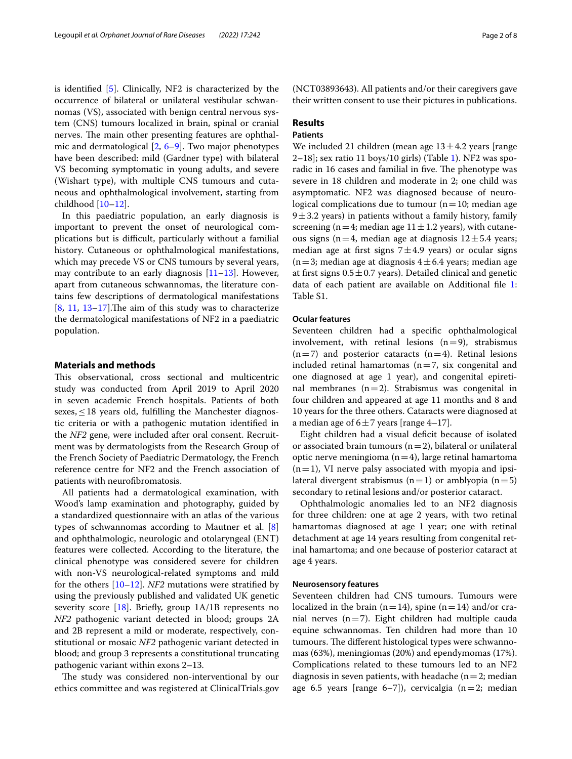is identifed [\[5](#page-7-3)]. Clinically, NF2 is characterized by the occurrence of bilateral or unilateral vestibular schwannomas (VS), associated with benign central nervous system (CNS) tumours localized in brain, spinal or cranial nerves. The main other presenting features are ophthalmic and dermatological [[2,](#page-7-4) [6–](#page-7-5)[9\]](#page-7-6). Two major phenotypes have been described: mild (Gardner type) with bilateral VS becoming symptomatic in young adults, and severe (Wishart type), with multiple CNS tumours and cutaneous and ophthalmological involvement, starting from childhood [[10–](#page-7-7)[12](#page-7-8)].

In this paediatric population, an early diagnosis is important to prevent the onset of neurological complications but is difficult, particularly without a familial history. Cutaneous or ophthalmological manifestations, which may precede VS or CNS tumours by several years, may contribute to an early diagnosis [\[11](#page-7-9)[–13](#page-7-10)]. However, apart from cutaneous schwannomas, the literature contains few descriptions of dermatological manifestations  $[8, 11, 13-17]$  $[8, 11, 13-17]$  $[8, 11, 13-17]$  $[8, 11, 13-17]$  $[8, 11, 13-17]$  $[8, 11, 13-17]$ . The aim of this study was to characterize the dermatological manifestations of NF2 in a paediatric population.

#### **Materials and methods**

This observational, cross sectional and multicentric study was conducted from April 2019 to April 2020 in seven academic French hospitals. Patients of both sexes, $\leq$ 18 years old, fulfilling the Manchester diagnostic criteria or with a pathogenic mutation identifed in the *NF2* gene, were included after oral consent. Recruitment was by dermatologists from the Research Group of the French Society of Paediatric Dermatology, the French reference centre for NF2 and the French association of patients with neurofibromatosis.

All patients had a dermatological examination, with Wood's lamp examination and photography, guided by a standardized questionnaire with an atlas of the various types of schwannomas according to Mautner et al. [\[8](#page-7-11)] and ophthalmologic, neurologic and otolaryngeal (ENT) features were collected. According to the literature, the clinical phenotype was considered severe for children with non-VS neurological-related symptoms and mild for the others [[10](#page-7-7)[–12](#page-7-8)]. *NF2* mutations were stratifed by using the previously published and validated UK genetic severity score [[18\]](#page-7-13). Briefly, group  $1A/1B$  represents no *NF2* pathogenic variant detected in blood; groups 2A and 2B represent a mild or moderate, respectively, constitutional or mosaic *NF2* pathogenic variant detected in blood; and group 3 represents a constitutional truncating pathogenic variant within exons 2–13.

The study was considered non-interventional by our ethics committee and was registered at ClinicalTrials.gov

(NCT03893643). All patients and/or their caregivers gave their written consent to use their pictures in publications.

#### **Results**

#### **Patients**

We included 21 children (mean age  $13 \pm 4.2$  years [range  $2-18$ ; sex ratio [1](#page-2-0)1 boys/10 girls) (Table 1). NF2 was sporadic in 16 cases and familial in five. The phenotype was severe in 18 children and moderate in 2; one child was asymptomatic. NF2 was diagnosed because of neurological complications due to tumour  $(n=10; \text{ median age})$  $9±3.2$  years) in patients without a family history, family screening (n = 4; median age  $11 \pm 1.2$  years), with cutaneous signs (n=4, median age at diagnosis  $12 \pm 5.4$  years; median age at first signs  $7±4.9$  years) or ocular signs  $(n=3;$  median age at diagnosis  $4 \pm 6.4$  years; median age at first signs  $0.5 \pm 0.7$  years). Detailed clinical and genetic data of each patient are available on Additional fle [1](#page-5-0): Table S1.

#### **Ocular features**

Seventeen children had a specifc ophthalmological involvement, with retinal lesions  $(n=9)$ , strabismus  $(n=7)$  and posterior cataracts  $(n=4)$ . Retinal lesions included retinal hamartomas ( $n=7$ , six congenital and one diagnosed at age 1 year), and congenital epiretinal membranes  $(n=2)$ . Strabismus was congenital in four children and appeared at age 11 months and 8 and 10 years for the three others. Cataracts were diagnosed at a median age of  $6±7$  years [range 4-17].

Eight children had a visual deficit because of isolated or associated brain tumours  $(n=2)$ , bilateral or unilateral optic nerve meningioma  $(n=4)$ , large retinal hamartoma  $(n=1)$ , VI nerve palsy associated with myopia and ipsilateral divergent strabismus  $(n=1)$  or amblyopia  $(n=5)$ secondary to retinal lesions and/or posterior cataract.

Ophthalmologic anomalies led to an NF2 diagnosis for three children: one at age 2 years, with two retinal hamartomas diagnosed at age 1 year; one with retinal detachment at age 14 years resulting from congenital retinal hamartoma; and one because of posterior cataract at age 4 years.

#### **Neurosensory features**

Seventeen children had CNS tumours. Tumours were localized in the brain ( $n=14$ ), spine ( $n=14$ ) and/or cranial nerves  $(n=7)$ . Eight children had multiple cauda equine schwannomas. Ten children had more than 10 tumours. The different histological types were schwannomas (63%), meningiomas (20%) and ependymomas (17%). Complications related to these tumours led to an NF2 diagnosis in seven patients, with headache ( $n=2$ ; median age 6.5 years [range 6–7]), cervicalgia  $(n=2;$  median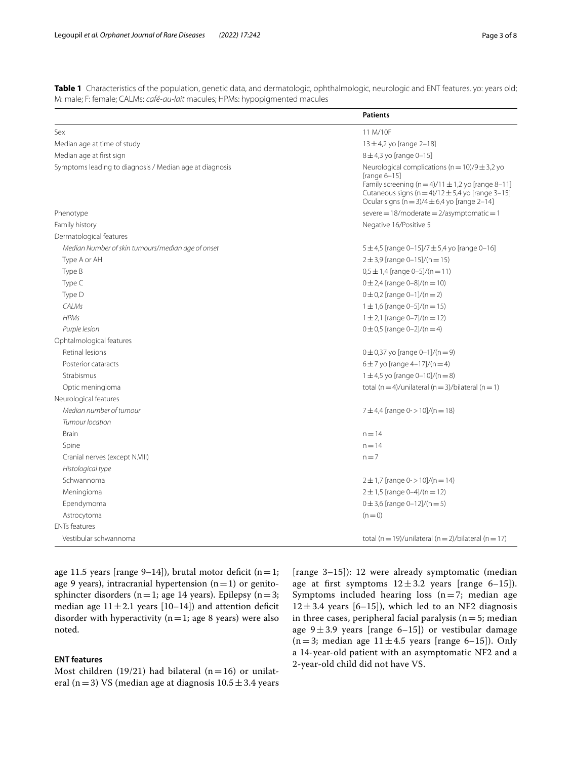<span id="page-2-0"></span>**Table 1** Characteristics of the population, genetic data, and dermatologic, ophthalmologic, neurologic and ENT features. yo: years old; M: male; F: female; CALMs: *café-au-lait* macules; HPMs: hypopigmented macules

|                                                         | <b>Patients</b>                                                                                                                                                                                                                                        |  |  |
|---------------------------------------------------------|--------------------------------------------------------------------------------------------------------------------------------------------------------------------------------------------------------------------------------------------------------|--|--|
| Sex                                                     | 11 M/10F                                                                                                                                                                                                                                               |  |  |
| Median age at time of study                             | $13 \pm 4.2$ yo [range 2-18]                                                                                                                                                                                                                           |  |  |
| Median age at first sign                                | $8 \pm 4.3$ yo [range 0-15]                                                                                                                                                                                                                            |  |  |
| Symptoms leading to diagnosis / Median age at diagnosis | Neurological complications ( $n = 10$ )/9 $\pm$ 3,2 yo<br>[range $6-15$ ]<br>Family screening (n = 4)/11 $\pm$ 1,2 yo [range 8-11]<br>Cutaneous signs ( $n = 4$ )/12 $\pm$ 5,4 yo [range 3-15]<br>Ocular signs ( $n = 3$ )/4 $\pm$ 6,4 yo [range 2-14] |  |  |
| Phenotype                                               | severe = $18/m$ oderate = $2/$ asymptomatic = $1$                                                                                                                                                                                                      |  |  |
| Family history                                          | Negative 16/Positive 5                                                                                                                                                                                                                                 |  |  |
| Dermatological features                                 |                                                                                                                                                                                                                                                        |  |  |
| Median Number of skin tumours/median age of onset       | 5±4,5 [range 0-15]/7 ±5,4 yo [range 0-16]                                                                                                                                                                                                              |  |  |
| Type A or AH                                            | $2 \pm 3.9$ [range 0-15]/(n = 15)                                                                                                                                                                                                                      |  |  |
| Type B                                                  | $0,5 \pm 1,4$ [range 0-5]/(n = 11)                                                                                                                                                                                                                     |  |  |
| Type C                                                  | $0 \pm 2.4$ [range $0 - 8$ ]/(n = 10)                                                                                                                                                                                                                  |  |  |
| Type D                                                  | $0 \pm 0.2$ [range $0 - 1$ ]/(n = 2)                                                                                                                                                                                                                   |  |  |
| CALMs                                                   | $1 \pm 1.6$ [range 0-5]/(n = 15)                                                                                                                                                                                                                       |  |  |
| <b>HPMs</b>                                             | $1 \pm 2$ , [range 0-7]/(n = 12)                                                                                                                                                                                                                       |  |  |
| Purple lesion                                           | $0 \pm 0.5$ [range $0 - 2$ ]/(n = 4)                                                                                                                                                                                                                   |  |  |
| Ophtalmological features                                |                                                                                                                                                                                                                                                        |  |  |
| Retinal lesions                                         | $0 \pm 0.37$ yo [range 0-1]/(n = 9)                                                                                                                                                                                                                    |  |  |
| Posterior cataracts                                     | $6 \pm 7$ yo [range 4-17]/(n = 4)                                                                                                                                                                                                                      |  |  |
| Strabismus                                              | $1 \pm 4.5$ yo [range 0-10]/(n = 8)                                                                                                                                                                                                                    |  |  |
| Optic meningioma                                        | total (n = 4)/unilateral (n = 3)/bilateral (n = 1)                                                                                                                                                                                                     |  |  |
| Neurological features                                   |                                                                                                                                                                                                                                                        |  |  |
| Median number of tumour                                 | 7 ± 4,4 [range $0 \rightarrow 10$ ]/(n = 18)                                                                                                                                                                                                           |  |  |
| Tumour location                                         |                                                                                                                                                                                                                                                        |  |  |
| <b>Brain</b>                                            | $n = 14$                                                                                                                                                                                                                                               |  |  |
| Spine                                                   | $n = 14$                                                                                                                                                                                                                                               |  |  |
| Cranial nerves (except N.VIII)                          | $n = 7$                                                                                                                                                                                                                                                |  |  |
| Histological type                                       |                                                                                                                                                                                                                                                        |  |  |
| Schwannoma                                              | $2 \pm 1.7$ [range 0- > 10]/(n = 14)                                                                                                                                                                                                                   |  |  |
| Meningioma                                              | $2 \pm 1.5$ [range 0-4]/(n = 12)                                                                                                                                                                                                                       |  |  |
| Ependymoma                                              | $0 \pm 3.6$ [range $0 - 12$ ]/(n = 5)                                                                                                                                                                                                                  |  |  |
| Astrocytoma                                             | $(n=0)$                                                                                                                                                                                                                                                |  |  |
| <b>ENTs features</b>                                    |                                                                                                                                                                                                                                                        |  |  |
| Vestibular schwannoma                                   | total (n = 19)/unilateral (n = 2)/bilateral (n = 17)                                                                                                                                                                                                   |  |  |

age 11.5 years [range 9–14]), brutal motor deficit ( $n=1$ ; age 9 years), intracranial hypertension  $(n=1)$  or genitosphincter disorders ( $n=1$ ; age 14 years). Epilepsy ( $n=3$ ; median age  $11 \pm 2.1$  years [10–14]) and attention deficit disorder with hyperactivity ( $n=1$ ; age 8 years) were also noted.

#### **ENT features**

Most children (19/21) had bilateral ( $n=16$ ) or unilateral (n=3) VS (median age at diagnosis  $10.5 \pm 3.4$  years

[range 3–15]): 12 were already symptomatic (median age at first symptoms  $12 \pm 3.2$  years [range 6–15]). Symptoms included hearing loss  $(n=7;$  median age  $12 \pm 3.4$  years [6–15]), which led to an NF2 diagnosis in three cases, peripheral facial paralysis ( $n=5$ ; median age  $9 \pm 3.9$  years [range 6–15]) or vestibular damage  $(n=3;$  median age  $11 \pm 4.5$  years [range 6–15]). Only a 14-year-old patient with an asymptomatic NF2 and a 2-year-old child did not have VS.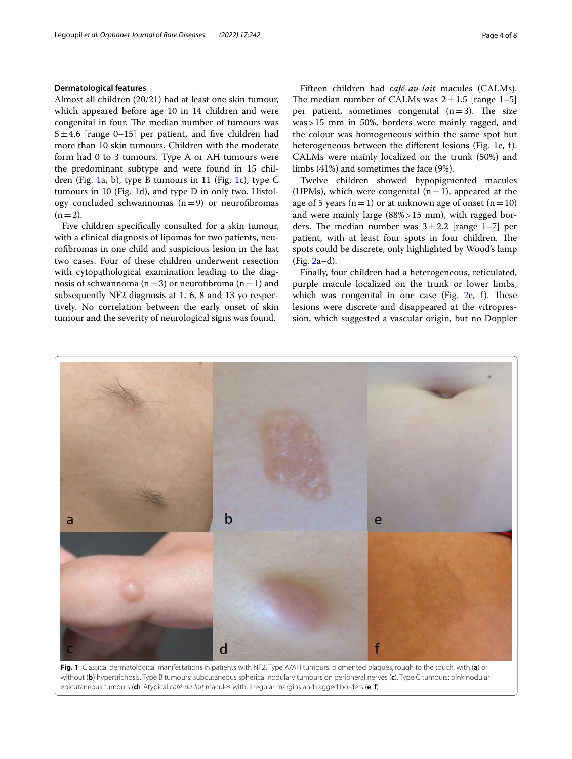#### **Dermatological features**

Almost all children (20/21) had at least one skin tumour, which appeared before age 10 in 14 children and were congenital in four. The median number of tumours was  $5\pm4.6$  [range 0–15] per patient, and five children had more than 10 skin tumours. Children with the moderate form had 0 to 3 tumours. Type A or AH tumours were the predominant subtype and were found in 15 children (Fig. [1](#page-3-0)a, b), type B tumours in 11 (Fig. [1c](#page-3-0)), type C tumours in 10 (Fig. [1](#page-3-0)d), and type D in only two. Histology concluded schwannomas  $(n=9)$  or neurofibromas  $(n=2)$ .

Five children specifcally consulted for a skin tumour, with a clinical diagnosis of lipomas for two patients, neurofbromas in one child and suspicious lesion in the last two cases. Four of these children underwent resection with cytopathological examination leading to the diagnosis of schwannoma ( $n=3$ ) or neurofibroma ( $n=1$ ) and subsequently NF2 diagnosis at 1, 6, 8 and 13 yo respectively. No correlation between the early onset of skin tumour and the severity of neurological signs was found.

Fifteen children had *café-au-lait* macules (CALMs). The median number of CALMs was  $2 \pm 1.5$  [range 1–5] per patient, sometimes congenital  $(n=3)$ . The size was>15 mm in 50%, borders were mainly ragged, and the colour was homogeneous within the same spot but heterogeneous between the diferent lesions (Fig. [1e](#page-3-0), f). CALMs were mainly localized on the trunk (50%) and limbs (41%) and sometimes the face (9%).

Twelve children showed hypopigmented macules (HPMs), which were congenital  $(n=1)$ , appeared at the age of 5 years (n=1) or at unknown age of onset (n=10) and were mainly large (88%>15 mm), with ragged borders. The median number was  $3 \pm 2.2$  [range 1–7] per patient, with at least four spots in four children. The spots could be discrete, only highlighted by Wood's lamp (Fig. [2a](#page-4-0)–d).

Finally, four children had a heterogeneous, reticulated, purple macule localized on the trunk or lower limbs, which was congenital in one case (Fig.  $2e$  $2e$ , f). These lesions were discrete and disappeared at the vitropression, which suggested a vascular origin, but no Doppler



<span id="page-3-0"></span>**Fig. 1** Classical dermatological manifestations in patients with NF2. Type A/AH tumours: pigmented plaques, rough to the touch, with (**a**) or without (**b**) hypertrichosis. Type B tumours: subcutaneous spherical nodulary tumours on peripheral nerves (**c**). Type C tumours: pink nodular epicutaneous tumours (**d**). Atypical *café-au-lait* macules with, irregular margins and ragged borders (**e**, **f**)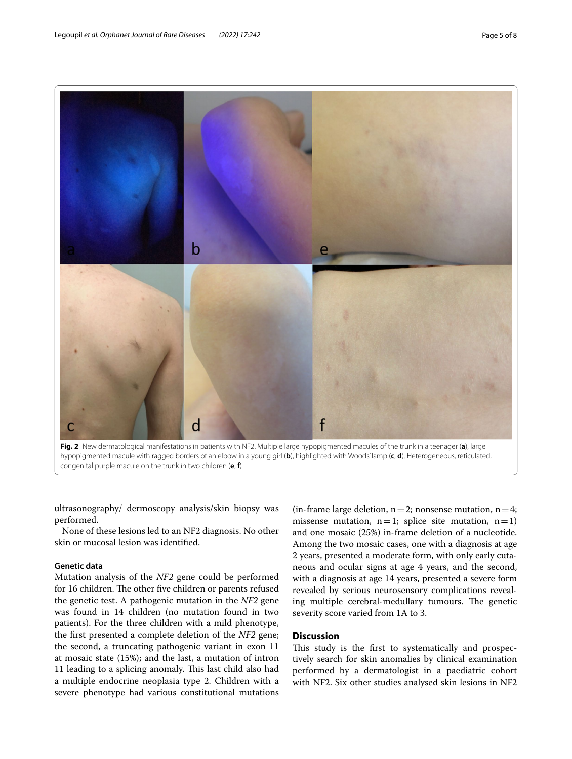

<span id="page-4-0"></span>**Fig. 2** New dermatological manifestations in patients with NF2. Multiple large hypopigmented macules of the trunk in a teenager (**a**), large hypopigmented macule with ragged borders of an elbow in a young girl (**b**), highlighted with Woods' lamp (**c**, **d**). Heterogeneous, reticulated, congenital purple macule on the trunk in two children (**e**, **f**)

ultrasonography/ dermoscopy analysis/skin biopsy was performed.

None of these lesions led to an NF2 diagnosis. No other skin or mucosal lesion was identifed.

#### **Genetic data**

Mutation analysis of the *NF2* gene could be performed for 16 children. The other five children or parents refused the genetic test. A pathogenic mutation in the *NF2* gene was found in 14 children (no mutation found in two patients). For the three children with a mild phenotype, the frst presented a complete deletion of the *NF2* gene; the second, a truncating pathogenic variant in exon 11 at mosaic state (15%); and the last, a mutation of intron 11 leading to a splicing anomaly. This last child also had a multiple endocrine neoplasia type 2. Children with a severe phenotype had various constitutional mutations

(in-frame large deletion,  $n=2$ ; nonsense mutation,  $n=4$ ; missense mutation,  $n=1$ ; splice site mutation,  $n=1$ ) and one mosaic (25%) in-frame deletion of a nucleotide. Among the two mosaic cases, one with a diagnosis at age 2 years, presented a moderate form, with only early cutaneous and ocular signs at age 4 years, and the second, with a diagnosis at age 14 years, presented a severe form revealed by serious neurosensory complications revealing multiple cerebral-medullary tumours. The genetic severity score varied from 1A to 3.

#### **Discussion**

This study is the first to systematically and prospectively search for skin anomalies by clinical examination performed by a dermatologist in a paediatric cohort with NF2. Six other studies analysed skin lesions in NF2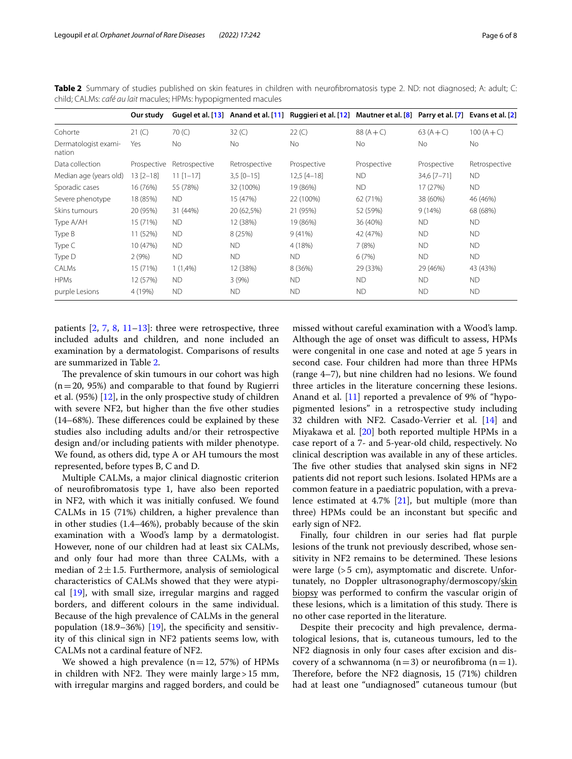|                                | Our study     |               |               | Gugel et al. [13] Anand et al. [11] Ruggieri et al. [12] Mautner et al. [8] Parry et al. [7] Evans et al. [2] |             |             |               |
|--------------------------------|---------------|---------------|---------------|---------------------------------------------------------------------------------------------------------------|-------------|-------------|---------------|
| Cohorte                        | 21 (C)        | 70(C)         | 32(C)         | 22 (C)                                                                                                        | $88(A + C)$ | $63(A + C)$ | $100(A + C)$  |
| Dermatologist exami-<br>nation | Yes           | <b>No</b>     | No.           | No.                                                                                                           | No.         | <b>No</b>   | <b>No</b>     |
| Data collection                | Prospective   | Retrospective | Retrospective | Prospective                                                                                                   | Prospective | Prospective | Retrospective |
| Median age (years old)         | $13 [2 - 18]$ | $11$ $[1-17]$ | $3,5$ [0-15]  | $12,5$ [4-18]                                                                                                 | <b>ND</b>   | 34,6 [7-71] | <b>ND</b>     |
| Sporadic cases                 | 16 (76%)      | 55 (78%)      | 32 (100%)     | 19 (86%)                                                                                                      | <b>ND</b>   | 17 (27%)    | <b>ND</b>     |
| Severe phenotype               | 18 (85%)      | <b>ND</b>     | 15 (47%)      | 22 (100%)                                                                                                     | 62 (71%)    | 38 (60%)    | 46 (46%)      |
| Skins tumours                  | 20 (95%)      | 31 (44%)      | 20 (62,5%)    | 21 (95%)                                                                                                      | 52 (59%)    | 9(14%)      | 68 (68%)      |
| Type A/AH                      | 15 (71%)      | <b>ND</b>     | 12 (38%)      | 19 (86%)                                                                                                      | 36 (40%)    | <b>ND</b>   | <b>ND</b>     |
| Type B                         | 11 (52%)      | <b>ND</b>     | 8 (25%)       | 9(41%)                                                                                                        | 42 (47%)    | <b>ND</b>   | <b>ND</b>     |
| Type C                         | 10 (47%)      | <b>ND</b>     | <b>ND</b>     | 4 (18%)                                                                                                       | 7(8%)       | <b>ND</b>   | <b>ND</b>     |
| Type D                         | 2(9%)         | <b>ND</b>     | <b>ND</b>     | <b>ND</b>                                                                                                     | 6(7%)       | <b>ND</b>   | <b>ND</b>     |
| CALMs                          | 15 (71%)      | 1(1,4%        | 12 (38%)      | 8 (36%)                                                                                                       | 29 (33%)    | 29 (46%)    | 43 (43%)      |
| <b>HPMs</b>                    | 12 (57%)      | <b>ND</b>     | 3(9%)         | <b>ND</b>                                                                                                     | <b>ND</b>   | <b>ND</b>   | <b>ND</b>     |
| purple Lesions                 | 4 (19%)       | <b>ND</b>     | <b>ND</b>     | <b>ND</b>                                                                                                     | <b>ND</b>   | <b>ND</b>   | <b>ND</b>     |

<span id="page-5-0"></span>**Table 2** Summary of studies published on skin features in children with neurofbromatosis type 2. ND: not diagnosed; A: adult; C: child; CALMs: *café au lait* macules; HPMs: hypopigmented macules

patients  $[2, 7, 8, 11-13]$  $[2, 7, 8, 11-13]$  $[2, 7, 8, 11-13]$  $[2, 7, 8, 11-13]$  $[2, 7, 8, 11-13]$  $[2, 7, 8, 11-13]$  $[2, 7, 8, 11-13]$  $[2, 7, 8, 11-13]$  $[2, 7, 8, 11-13]$ : three were retrospective, three included adults and children, and none included an examination by a dermatologist. Comparisons of results are summarized in Table [2.](#page-5-0)

The prevalence of skin tumours in our cohort was high  $(n=20, 95%)$  and comparable to that found by Rugierri et al. (95%)  $[12]$  $[12]$  $[12]$ , in the only prospective study of children with severe NF2, but higher than the five other studies  $(14–68%)$ . These differences could be explained by these studies also including adults and/or their retrospective design and/or including patients with milder phenotype. We found, as others did, type A or AH tumours the most represented, before types B, C and D.

Multiple CALMs, a major clinical diagnostic criterion of neurofbromatosis type 1, have also been reported in NF2, with which it was initially confused. We found CALMs in 15 (71%) children, a higher prevalence than in other studies (1.4–46%), probably because of the skin examination with a Wood's lamp by a dermatologist. However, none of our children had at least six CALMs, and only four had more than three CALMs, with a median of  $2 \pm 1.5$ . Furthermore, analysis of semiological characteristics of CALMs showed that they were atypical [[19\]](#page-7-15), with small size, irregular margins and ragged borders, and diferent colours in the same individual. Because of the high prevalence of CALMs in the general population (18.9–36%) [[19](#page-7-15)], the specificity and sensitivity of this clinical sign in NF2 patients seems low, with CALMs not a cardinal feature of NF2.

We showed a high prevalence  $(n=12, 57%)$  of HPMs in children with NF2. They were mainly large  $>15$  mm, with irregular margins and ragged borders, and could be

missed without careful examination with a Wood's lamp. Although the age of onset was difficult to assess, HPMs were congenital in one case and noted at age 5 years in second case. Four children had more than three HPMs (range 4–7), but nine children had no lesions. We found three articles in the literature concerning these lesions. Anand et al. [[11](#page-7-9)] reported a prevalence of 9% of "hypopigmented lesions" in a retrospective study including 32 children with NF2. Casado-Verrier et al. [\[14](#page-7-16)] and Miyakawa et al. [\[20\]](#page-7-17) both reported multiple HPMs in a case report of a 7- and 5-year-old child, respectively. No clinical description was available in any of these articles. The five other studies that analysed skin signs in NF2 patients did not report such lesions. Isolated HPMs are a common feature in a paediatric population, with a prevalence estimated at 4.7% [[21\]](#page-7-18), but multiple (more than three) HPMs could be an inconstant but specifc and early sign of NF2.

Finally, four children in our series had flat purple lesions of the trunk not previously described, whose sensitivity in NF2 remains to be determined. These lesions were large (>5 cm), asymptomatic and discrete. Unfortunately, no Doppler ultrasonography/dermoscopy/skin biopsy was performed to confrm the vascular origin of these lesions, which is a limitation of this study. There is no other case reported in the literature.

Despite their precocity and high prevalence, dermatological lesions, that is, cutaneous tumours, led to the NF2 diagnosis in only four cases after excision and discovery of a schwannoma ( $n=3$ ) or neurofibroma ( $n=1$ ). Therefore, before the NF2 diagnosis, 15 (71%) children had at least one "undiagnosed" cutaneous tumour (but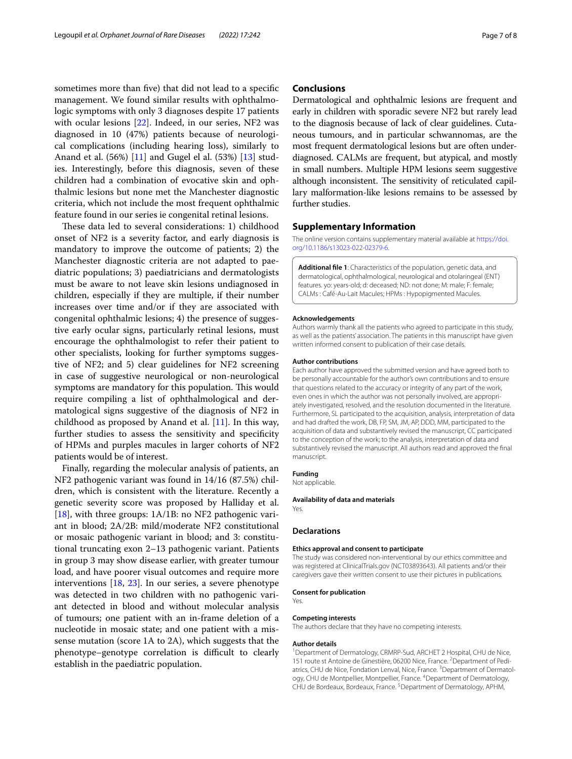sometimes more than fve) that did not lead to a specifc management. We found similar results with ophthalmologic symptoms with only 3 diagnoses despite 17 patients with ocular lesions [[22](#page-7-19)]. Indeed, in our series, NF2 was diagnosed in 10 (47%) patients because of neurological complications (including hearing loss), similarly to Anand et al. (56%) [[11\]](#page-7-9) and Gugel el al. (53%) [\[13](#page-7-10)] studies. Interestingly, before this diagnosis, seven of these children had a combination of evocative skin and ophthalmic lesions but none met the Manchester diagnostic criteria, which not include the most frequent ophthalmic feature found in our series ie congenital retinal lesions.

These data led to several considerations: 1) childhood onset of NF2 is a severity factor, and early diagnosis is mandatory to improve the outcome of patients; 2) the Manchester diagnostic criteria are not adapted to paediatric populations; 3) paediatricians and dermatologists must be aware to not leave skin lesions undiagnosed in children, especially if they are multiple, if their number increases over time and/or if they are associated with congenital ophthalmic lesions; 4) the presence of suggestive early ocular signs, particularly retinal lesions, must encourage the ophthalmologist to refer their patient to other specialists, looking for further symptoms suggestive of NF2; and 5) clear guidelines for NF2 screening in case of suggestive neurological or non-neurological symptoms are mandatory for this population. This would require compiling a list of ophthalmological and dermatological signs suggestive of the diagnosis of NF2 in childhood as proposed by Anand et al. [\[11](#page-7-9)]. In this way, further studies to assess the sensitivity and specifcity of HPMs and purples macules in larger cohorts of NF2 patients would be of interest.

Finally, regarding the molecular analysis of patients, an NF2 pathogenic variant was found in 14/16 (87.5%) children, which is consistent with the literature. Recently a genetic severity score was proposed by Halliday et al. [[18\]](#page-7-13), with three groups: 1A/1B: no NF2 pathogenic variant in blood; 2A/2B: mild/moderate NF2 constitutional or mosaic pathogenic variant in blood; and 3: constitutional truncating exon 2–13 pathogenic variant. Patients in group 3 may show disease earlier, with greater tumour load, and have poorer visual outcomes and require more interventions [[18](#page-7-13), [23\]](#page-7-20). In our series, a severe phenotype was detected in two children with no pathogenic variant detected in blood and without molecular analysis of tumours; one patient with an in-frame deletion of a nucleotide in mosaic state; and one patient with a missense mutation (score 1A to 2A), which suggests that the phenotype–genotype correlation is difficult to clearly establish in the paediatric population.

#### **Conclusions**

Dermatological and ophthalmic lesions are frequent and early in children with sporadic severe NF2 but rarely lead to the diagnosis because of lack of clear guidelines. Cutaneous tumours, and in particular schwannomas, are the most frequent dermatological lesions but are often underdiagnosed. CALMs are frequent, but atypical, and mostly in small numbers. Multiple HPM lesions seem suggestive although inconsistent. The sensitivity of reticulated capillary malformation-like lesions remains to be assessed by further studies.

#### **Supplementary Information**

The online version contains supplementary material available at [https://doi.](https://doi.org/10.1186/s13023-022-02379-6) [org/10.1186/s13023-022-02379-6](https://doi.org/10.1186/s13023-022-02379-6).

**Additional fle 1**: Characteristics of the population, genetic data, and dermatological, ophthalmological, neurological and otolaringeal (ENT) features. yo: years-old; d: deceased; ND: not done; M: male; F: female; CALMs : Café-Au-Lait Macules; HPMs : Hypopigmented Macules.

#### **Acknowledgements**

Authors warmly thank all the patients who agreed to participate in this study, as well as the patients' association. The patients in this manuscript have given written informed consent to publication of their case details.

#### **Author contributions**

Each author have approved the submitted version and have agreed both to be personally accountable for the author's own contributions and to ensure that questions related to the accuracy or integrity of any part of the work, even ones in which the author was not personally involved, are appropriately investigated, resolved, and the resolution documented in the literature. Furthermore, SL participated to the acquisition, analysis, interpretation of data and had drafted the work, DB, FP, SM, JM, AP, DDD, MM, participated to the acquisition of data and substantively revised the manuscript, CC participated to the conception of the work; to the analysis, interpretation of data and substantively revised the manuscript. All authors read and approved the fnal manuscript.

#### **Funding**

Not applicable.

#### **Availability of data and materials**

Yes.

#### **Declarations**

#### **Ethics approval and consent to participate**

The study was considered non-interventional by our ethics committee and was registered at ClinicalTrials.gov (NCT03893643). All patients and/or their caregivers gave their written consent to use their pictures in publications.

#### **Consent for publication**

Yes.

#### **Competing interests**

The authors declare that they have no competing interests.

#### **Author details**

<sup>1</sup> Department of Dermatology, CRMRP-Sud, ARCHET 2 Hospital, CHU de Nice, 151 route st Antoine de Ginestière, 06200 Nice, France. <sup>2</sup> Department of Pediatrics, CHU de Nice, Fondation Lenval, Nice, France.<sup>3</sup> Department of Dermatology, CHU de Montpellier, Montpellier, France. <sup>4</sup> Department of Dermatology, CHU de Bordeaux, Bordeaux, France.<sup>5</sup> Department of Dermatology, APHM,